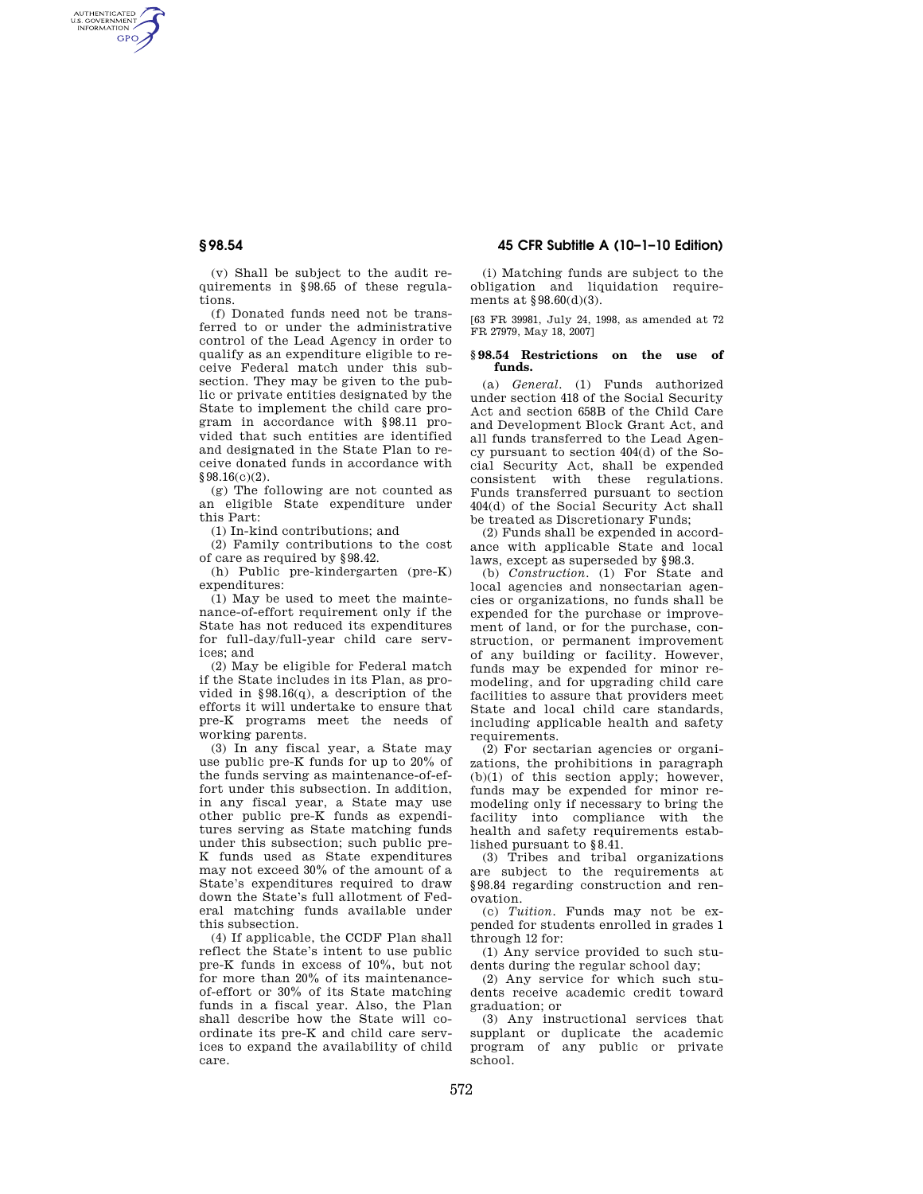AUTHENTICATED<br>U.S. GOVERNMENT<br>INFORMATION **GPO** 

> (v) Shall be subject to the audit requirements in §98.65 of these regulations.

> (f) Donated funds need not be transferred to or under the administrative control of the Lead Agency in order to qualify as an expenditure eligible to receive Federal match under this subsection. They may be given to the public or private entities designated by the State to implement the child care program in accordance with §98.11 provided that such entities are identified and designated in the State Plan to receive donated funds in accordance with §98.16(c)(2).

> (g) The following are not counted as an eligible State expenditure under this Part:

(1) In-kind contributions; and

(2) Family contributions to the cost of care as required by §98.42.

(h) Public pre-kindergarten (pre-K) expenditures:

(1) May be used to meet the maintenance-of-effort requirement only if the State has not reduced its expenditures for full-day/full-year child care services; and

(2) May be eligible for Federal match if the State includes in its Plan, as provided in §98.16(q), a description of the efforts it will undertake to ensure that pre-K programs meet the needs of working parents.

(3) In any fiscal year, a State may use public pre-K funds for up to 20% of the funds serving as maintenance-of-effort under this subsection. In addition, in any fiscal year, a State may use other public pre-K funds as expenditures serving as State matching funds under this subsection; such public pre-K funds used as State expenditures may not exceed 30% of the amount of a State's expenditures required to draw down the State's full allotment of Federal matching funds available under this subsection.

(4) If applicable, the CCDF Plan shall reflect the State's intent to use public pre-K funds in excess of 10%, but not for more than 20% of its maintenanceof-effort or 30% of its State matching funds in a fiscal year. Also, the Plan shall describe how the State will coordinate its pre-K and child care services to expand the availability of child care.

# **§ 98.54 45 CFR Subtitle A (10–1–10 Edition)**

(i) Matching funds are subject to the obligation and liquidation requirements at §98.60(d)(3).

[63 FR 39981, July 24, 1998, as amended at 72 FR 27979, May 18, 2007]

#### **§ 98.54 Restrictions on the use of funds.**

(a) *General.* (1) Funds authorized under section 418 of the Social Security Act and section 658B of the Child Care and Development Block Grant Act, and all funds transferred to the Lead Agency pursuant to section 404(d) of the Social Security Act, shall be expended consistent with these regulations. Funds transferred pursuant to section 404(d) of the Social Security Act shall be treated as Discretionary Funds;

(2) Funds shall be expended in accordance with applicable State and local laws, except as superseded by §98.3.

(b) *Construction.* (1) For State and local agencies and nonsectarian agencies or organizations, no funds shall be expended for the purchase or improvement of land, or for the purchase, construction, or permanent improvement of any building or facility. However, funds may be expended for minor remodeling, and for upgrading child care facilities to assure that providers meet State and local child care standards, including applicable health and safety requirements.

(2) For sectarian agencies or organizations, the prohibitions in paragraph (b)(1) of this section apply; however, funds may be expended for minor remodeling only if necessary to bring the facility into compliance with the health and safety requirements established pursuant to §8.41.

(3) Tribes and tribal organizations are subject to the requirements at §98.84 regarding construction and renovation.

(c) *Tuition.* Funds may not be expended for students enrolled in grades 1 through 12 for:

(1) Any service provided to such students during the regular school day;

(2) Any service for which such students receive academic credit toward graduation; or

(3) Any instructional services that supplant or duplicate the academic program of any public or private school.